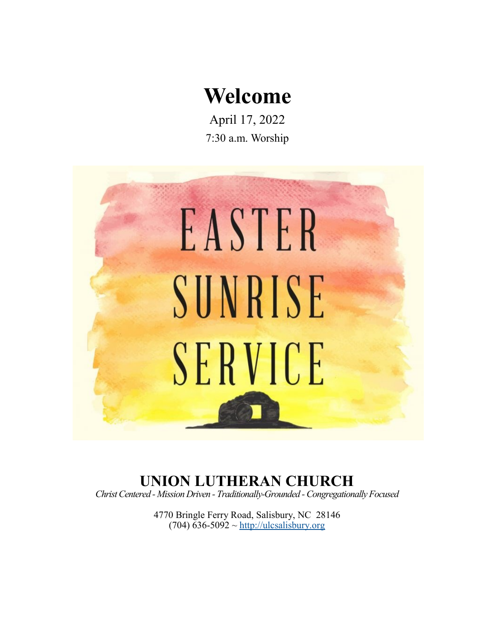# **Welcome**

April 17, 2022 7:30 a.m. Worship



# **UNION LUTHERAN CHURCH**

*Christ Centered - Mission Driven - Traditionally-Grounded -Congregationally Focused*

4770 Bringle Ferry Road, Salisbury, NC 28146 (704) 636-5092  $\sim$ <http://ulcsalisbury.org>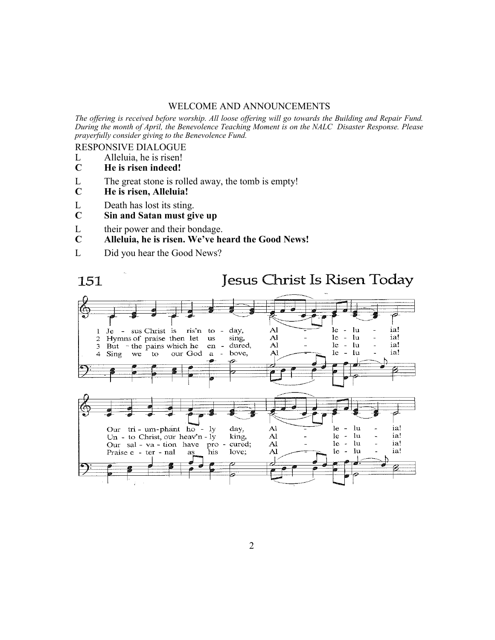#### WELCOME AND ANNOUNCEMENTS

*The offering is received before worship. All loose offering will go towards the Building and Repair Fund. During the month of April, the Benevolence Teaching Moment is on the NALC Disaster Response. Please prayerfully consider giving to the Benevolence Fund.*

RESPONSIVE DIALOGUE

- L Alleluia, he is risen!<br>C He is risen indeed!
- **C He is risen indeed!**
- L The great stone is rolled away, the tomb is empty!<br>  $C$  He is risen, Alleluia!
- **C He is risen, Alleluia!**
- L Death has lost its sting.
- **C Sin and Satan must give up**
- L their power and their bondage.<br>  $C$  Alleluia, he is risen. We've he
- **C Alleluia, he is risen. We've heard the Good News!**
- L Did you hear the Good News?

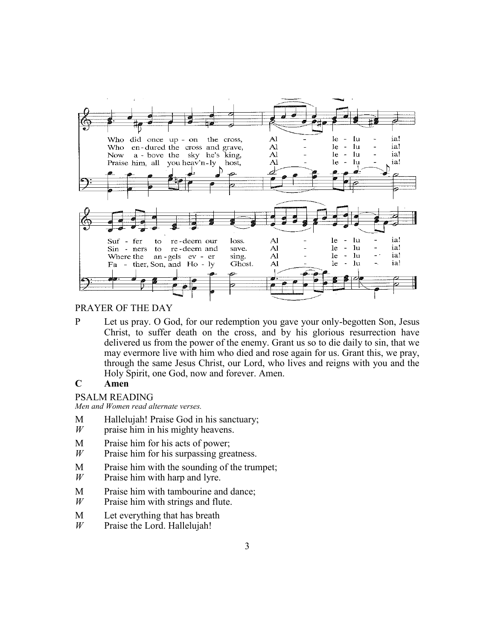

#### PRAYER OF THE DAY

P Let us pray. O God, for our redemption you gave your only-begotten Son, Jesus Christ, to suffer death on the cross, and by his glorious resurrection have delivered us from the power of the enemy. Grant us so to die daily to sin, that we may evermore live with him who died and rose again for us. Grant this, we pray, through the same Jesus Christ, our Lord, who lives and reigns with you and the Holy Spirit, one God, now and forever. Amen.

## **C Amen**

#### PSALM READING

*Men and Women read alternate verses.*

- M Hallelujah! Praise God in his sanctuary;
- *W* praise him in his mighty heavens.
- M Praise him for his acts of power;
- *W* Praise him for his surpassing greatness.
- M Praise him with the sounding of the trumpet;<br> $W$  Praise him with harp and lyre.
- Praise him with harp and lyre.
- M Praise him with tambourine and dance;
- *W* Praise him with strings and flute.
- M Let everything that has breath
- *W* Praise the Lord. Hallelujah!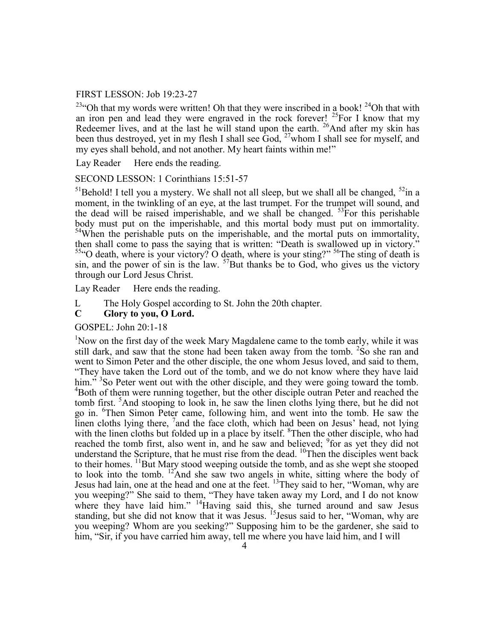#### FIRST LESSON: Job 19:23-27

<sup>23</sup>"Oh that my words were written! Oh that they were inscribed in a book!  $24$ Oh that with an iron pen and lead they were engraved in the rock forever!  $^{25}$ For I know that my Redeemer lives, and at the last he will stand upon the earth.  $^{26}$ And after my skin has been thus destroyed, yet in my flesh I shall see God,  $^{27}$ whom I shall see for myself, and my eyes shall behold, and not another. My heart faints within me!"

Lay Reader Here ends the reading.

#### SECOND LESSON: 1 Corinthians 15:51-57

<sup>51</sup>Behold! I tell you a mystery. We shall not all sleep, but we shall all be changed,  $52$ in a moment, in the twinkling of an eye, at the last trumpet. For the trumpet will sound, and the dead will be raised imperishable, and we shall be changed.  $53$  For this perishable body must put on the imperishable, and this mortal body must put on immortality. <sup>54</sup>When the perishable puts on the imperishable, and the mortal puts on immortality, then shall come to pass the saying that is written: "Death is swallowed up in victory." <sup>55"</sup>O death, where is your victory? O death, where is your sting?" <sup>56</sup>The sting of death is sin, and the power of sin is the law.  $57$ But thanks be to God, who gives us the victory through our Lord Jesus Christ.

Lay Reader Here ends the reading.

L The Holy Gospel according to St. John the 20th chapter.

#### **C Glory to you, O Lord.**

GOSPEL: John 20:1-18

<sup>1</sup>Now on the first day of the week Mary Magdalene came to the tomb early, while it was still dark, and saw that the stone had been taken away from the tomb.  $250$  she ran and went to Simon Peter and the other disciple, the one whom Jesus loved, and said to them, "They have taken the Lord out of the tomb, and we do not know where they have laid him."<sup>3</sup>So Peter went out with the other disciple, and they were going toward the tomb. <sup>4</sup>Both of them were running together, but the other disciple outran Peter and reached the tomb first. <sup>5</sup>And stooping to look in, he saw the linen cloths lying there, but he did not go in. <sup>6</sup>Then Simon Peter came, following him, and went into the tomb. He saw the linen cloths lying there, <sup>7</sup> and the face cloth, which had been on Jesus' head, not lying with the linen cloths but folded up in a place by itself. <sup>8</sup>Then the other disciple, who had reached the tomb first, also went in, and he saw and believed; <sup>9</sup> for as yet they did not understand the Scripture, that he must rise from the dead.  $^{10}$ Then the disciples went back to their homes. <sup>11</sup>But Mary stood weeping outside the tomb, and as she wept she stooped to look into the tomb. <sup>12</sup>And she saw two angels in white, sitting where the body of Jesus had lain, one at the head and one at the feet.  $^{13}$ They said to her, "Woman, why are you weeping?" She said to them, "They have taken away my Lord, and I do not know where they have laid him." <sup>14</sup>Having said this, she turned around and saw Jesus standing, but she did not know that it was Jesus. <sup>15</sup>Jesus said to her, "Woman, why are you weeping? Whom are you seeking?" Supposing him to be the gardener, she said to him, "Sir, if you have carried him away, tell me where you have laid him, and I will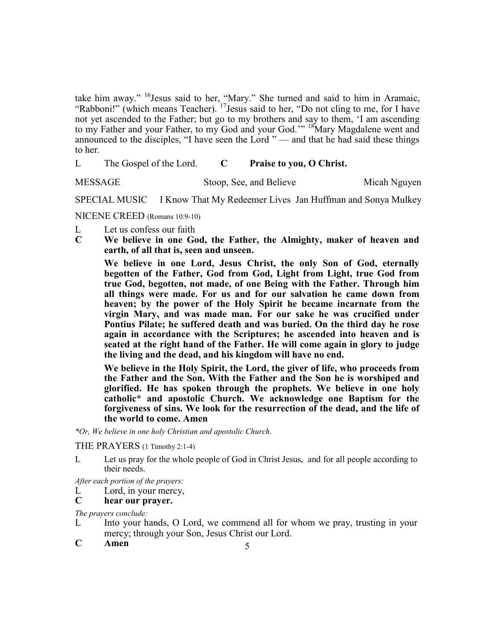take him away." <sup>16</sup>Jesus said to her, "Mary." She turned and said to him in Aramaic, "Rabboni!" (which means Teacher).  $17$  Jesus said to her, "Do not cling to me, for I have not yet ascended to the Father; but go to my brothers and say to them, 'I am ascending to my Father and your Father, to my God and your God.'" <sup>18</sup>Mary Magdalene went and announced to the disciples, "I have seen the Lord " — and that he had said these things to her.

L The Gospel of the Lord. **C Praise to you, O Christ.**

MESSAGE Stoop, See, and Believe Micah Nguyen

SPECIAL MUSIC I Know That My Redeemer Lives Jan Huffman and Sonya Mulkey

NICENE CREED (Romans 10:9-10)

- L Let us confess our faith
- **C We believe in one God, the Father, the Almighty, maker of heaven and earth, of all that is, seen and unseen.**

**We believe in one Lord, Jesus Christ, the only Son of God, eternally begotten of the Father, God from God, Light from Light, true God from true God, begotten, not made, of one Being with the Father. Through him all things were made. For us and for our salvation he came down from heaven; by the power of the Holy Spirit he became incarnate from the virgin Mary, and was made man. For our sake he was crucified under Pontius Pilate; he suffered death and was buried. On the third day he rose again in accordance with the Scriptures; he ascended into heaven and is seated at the right hand of the Father. He will come again in glory to judge the living and the dead, and his kingdom will have no end.**

**We believe in the Holy Spirit, the Lord, the giver of life, who proceeds from the Father and the Son. With the Father and the Son he is worshiped and glorified. He has spoken through the prophets. We believe in one holy catholic\* and apostolic Church. We acknowledge one Baptism for the forgiveness of sins. We look for the resurrection of the dead, and the life of the world to come. Amen**

*\*Or, We believe in one holy Christian and apostolic Church.*

THE PRAYERS (1 Timothy 2:1-4)

L Let us pray for the whole people of God in Christ Jesus, and for all people according to their needs.

*After each portion of the prayers:*

L Lord, in your mercy,

#### **C hear our prayer.**

*The prayers conclude:* 

- L Into your hands, O Lord, we commend all for whom we pray, trusting in your mercy; through your Son, Jesus Christ our Lord.
- **C Amen**

5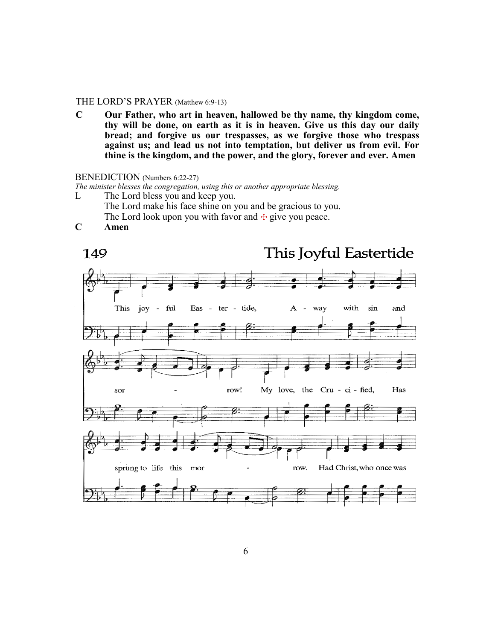#### THE LORD'S PRAYER (Matthew 6:9-13)

**C Our Father, who art in heaven, hallowed be thy name, thy kingdom come, thy will be done, on earth as it is in heaven. Give us this day our daily bread; and forgive us our trespasses, as we forgive those who trespass against us; and lead us not into temptation, but deliver us from evil. For thine is the kingdom, and the power, and the glory, forever and ever. Amen**

#### BENEDICTION (Numbers 6:22-27)

*The minister blesses the congregation, using this or another appropriate blessing.*

L The Lord bless you and keep you.

The Lord make his face shine on you and be gracious to you. The Lord look upon you with favor and  $+$  give you peace.

**C Amen**

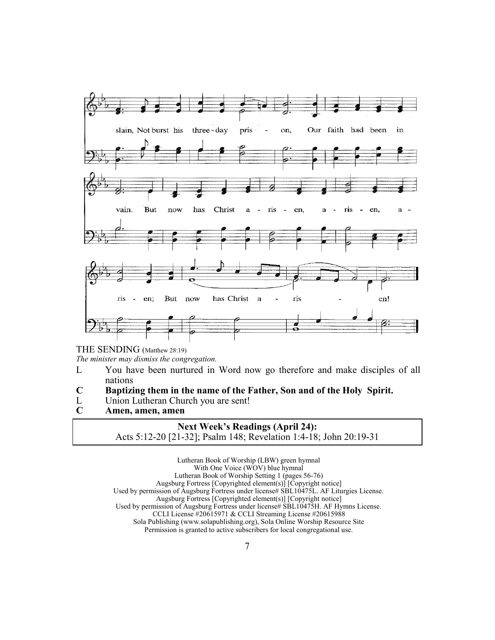

THE SENDING (Matthew 28:19)

*The minister may dismiss the congregation.*

- L You have been nurtured in Word now go therefore and make disciples of all nations
- **C Baptizing them in the name of the Father, Son and of the Holy Spirit.**
- L Union Lutheran Church you are sent!<br>C Amen, amen, amen
- **C Amen, amen, amen**

### **Next Week's Readings (April 24):** Acts 5:12-20 [21-32]; Psalm 148; Revelation 1:4-18; John 20:19-31

Lutheran Book of Worship (LBW) green hymnal With One Voice  $(WOV)$  blue hymnal Lutheran Book of Worship Setting 1 (pages 56-76) Augsburg Fortress [Copyrighted element(s)] [Copyright notice] Used by permission of Augsburg Fortress under license# SBL10475L. AF Liturgies License. Augsburg Fortress [Copyrighted element(s)] [Copyright notice] Used by permission of Augsburg Fortress under license# SBL10475H. AF Hymns License. CCLI License #20615971 & CCLI Streaming License #20615988 Sola Publishing (www.solapublishing.org), Sola Online Worship Resource Site Permission is granted to active subscribers for local congregational use.